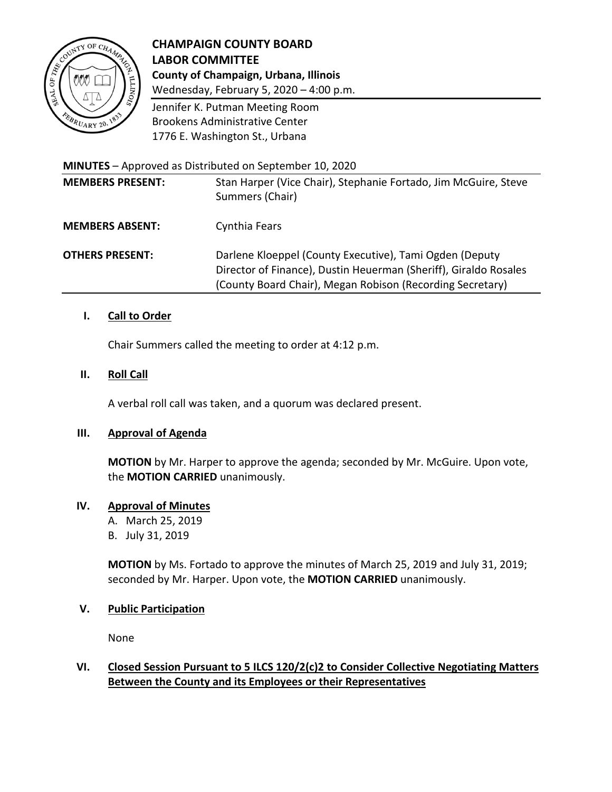

# **CHAMPAIGN COUNTY BOARD LABOR COMMITTEE County of Champaign, Urbana, Illinois**

Wednesday, February 5, 2020 – 4:00 p.m.

Jennifer K. Putman Meeting Room Brookens Administrative Center 1776 E. Washington St., Urbana

**MINUTES** – Approved as Distributed on September 10, 2020

| <b>MEMBERS PRESENT:</b> | Stan Harper (Vice Chair), Stephanie Fortado, Jim McGuire, Steve<br>Summers (Chair)                                                                                                       |
|-------------------------|------------------------------------------------------------------------------------------------------------------------------------------------------------------------------------------|
| <b>MEMBERS ABSENT:</b>  | Cynthia Fears                                                                                                                                                                            |
| <b>OTHERS PRESENT:</b>  | Darlene Kloeppel (County Executive), Tami Ogden (Deputy<br>Director of Finance), Dustin Heuerman (Sheriff), Giraldo Rosales<br>(County Board Chair), Megan Robison (Recording Secretary) |

# **I. Call to Order**

Chair Summers called the meeting to order at 4:12 p.m.

#### **II. Roll Call**

A verbal roll call was taken, and a quorum was declared present.

## **III. Approval of Agenda**

**MOTION** by Mr. Harper to approve the agenda; seconded by Mr. McGuire. Upon vote, the **MOTION CARRIED** unanimously.

## **IV. Approval of Minutes**

A. March 25, 2019

B. July 31, 2019

**MOTION** by Ms. Fortado to approve the minutes of March 25, 2019 and July 31, 2019; seconded by Mr. Harper. Upon vote, the **MOTION CARRIED** unanimously.

#### **V. Public Participation**

None

# **VI. Closed Session Pursuant to 5 ILCS 120/2(c)2 to Consider Collective Negotiating Matters Between the County and its Employees or their Representatives**